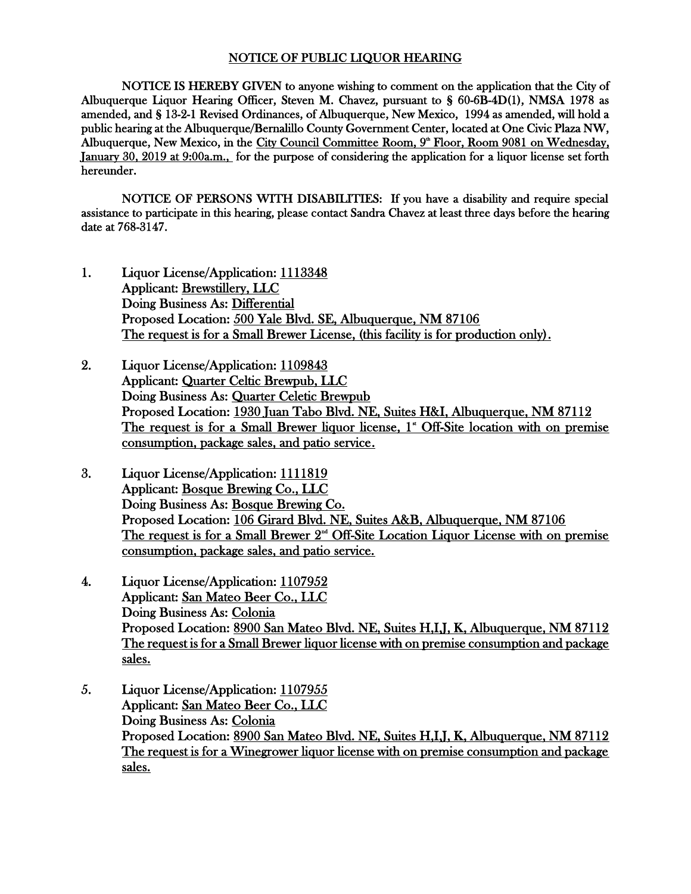## NOTICE OF PUBLIC LIQUOR HEARING

NOTICE IS HEREBY GIVEN to anyone wishing to comment on the application that the City of Albuquerque Liquor Hearing Officer, Steven M. Chavez, pursuant to § 60-6B-4D(1), NMSA 1978 as amended, and § 13-2-1 Revised Ordinances, of Albuquerque, New Mexico, 1994 as amended, will hold a public hearing at the Albuquerque/Bernalillo County Government Center, located at One Civic Plaza NW, Albuquerque, New Mexico, in the City Council Committee Room, 9<sup>\*</sup> Floor, Room 9081 on Wednesday, January 30, 2019 at 9:00a.m., for the purpose of considering the application for a liquor license set forth hereunder.

NOTICE OF PERSONS WITH DISABILITIES: If you have a disability and require special assistance to participate in this hearing, please contact Sandra Chavez at least three days before the hearing date at 768-3147.

- 1. Liquor License/Application: 1113348 Applicant: Brewstillery, LLC Doing Business As: Differential Proposed Location: 500 Yale Blvd. SE, Albuquerque, NM 87106 The request is for a Small Brewer License, (this facility is for production only).
- 2. Liquor License/Application: 1109843 Applicant: Quarter Celtic Brewpub, LLC Doing Business As: Quarter Celetic Brewpub Proposed Location: 1930 Juan Tabo Blvd. NE, Suites H&I, Albuquerque, NM 87112 The request is for a Small Brewer liquor license, 1<sup>\*</sup> Off-Site location with on premise consumption, package sales, and patio service.
- 3. Liquor License/Application: 1111819 Applicant: Bosque Brewing Co., LLC Doing Business As: Bosque Brewing Co. Proposed Location: 106 Girard Blvd. NE, Suites A&B, Albuquerque, NM 87106 The request is for a Small Brewer 2<sup>nd</sup> Off-Site Location Liquor License with on premise consumption, package sales, and patio service.
- 4. Liquor License/Application: 1107952 Applicant: San Mateo Beer Co., LLC Doing Business As: Colonia Proposed Location: 8900 San Mateo Blvd. NE, Suites H,I,J, K, Albuquerque, NM 87112 The request is for a Small Brewer liquor license with on premise consumption and package sales.
- 5. Liquor License/Application: 1107955 Applicant: San Mateo Beer Co., LLC Doing Business As: Colonia Proposed Location: 8900 San Mateo Blvd. NE, Suites H,I,J, K, Albuquerque, NM 87112 The request is for a Winegrower liquor license with on premise consumption and package sales.